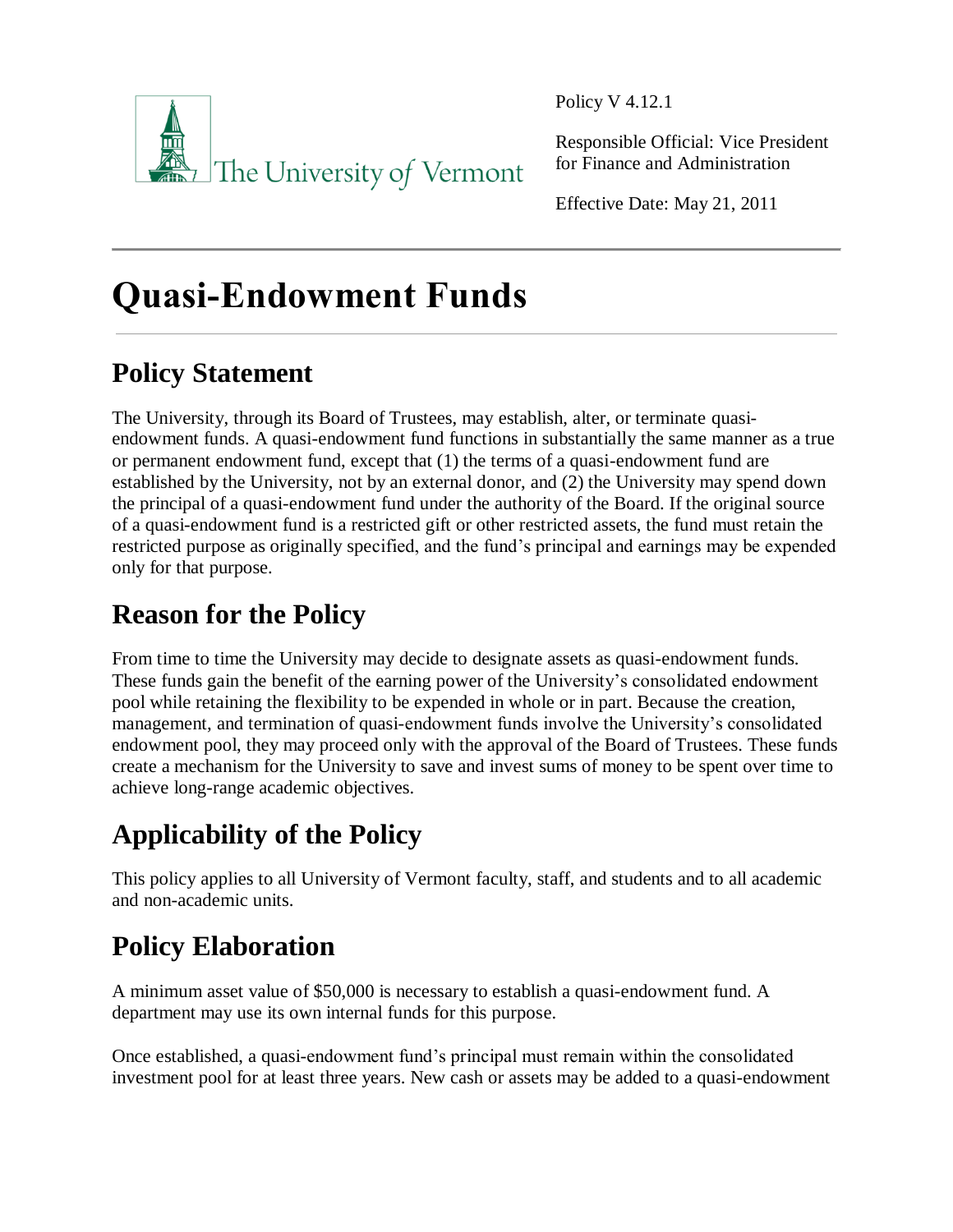

Policy V 4.12.1

Responsible Official: Vice President for Finance and Administration

Effective Date: May 21, 2011

# **Quasi-Endowment Funds**

## **Policy Statement**

The University, through its Board of Trustees, may establish, alter, or terminate quasiendowment funds. A quasi-endowment fund functions in substantially the same manner as a true or permanent endowment fund, except that (1) the terms of a quasi-endowment fund are established by the University, not by an external donor, and (2) the University may spend down the principal of a quasi-endowment fund under the authority of the Board. If the original source of a quasi-endowment fund is a restricted gift or other restricted assets, the fund must retain the restricted purpose as originally specified, and the fund's principal and earnings may be expended only for that purpose.

### **Reason for the Policy**

From time to time the University may decide to designate assets as quasi-endowment funds. These funds gain the benefit of the earning power of the University's consolidated endowment pool while retaining the flexibility to be expended in whole or in part. Because the creation, management, and termination of quasi-endowment funds involve the University's consolidated endowment pool, they may proceed only with the approval of the Board of Trustees. These funds create a mechanism for the University to save and invest sums of money to be spent over time to achieve long-range academic objectives.

## **Applicability of the Policy**

This policy applies to all University of Vermont faculty, staff, and students and to all academic and non-academic units.

## **Policy Elaboration**

A minimum asset value of \$50,000 is necessary to establish a quasi-endowment fund. A department may use its own internal funds for this purpose.

Once established, a quasi-endowment fund's principal must remain within the consolidated investment pool for at least three years. New cash or assets may be added to a quasi-endowment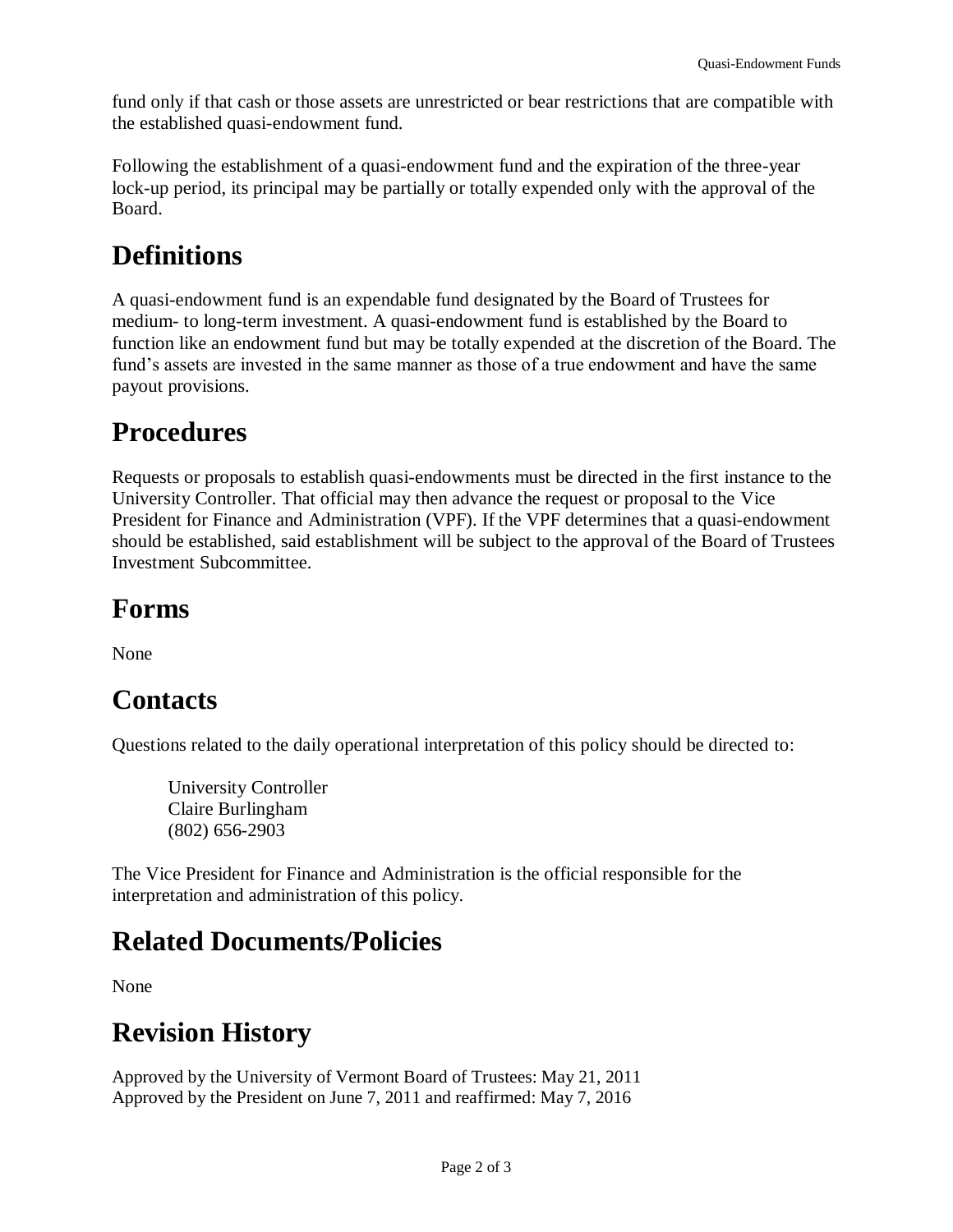fund only if that cash or those assets are unrestricted or bear restrictions that are compatible with the established quasi-endowment fund.

Following the establishment of a quasi-endowment fund and the expiration of the three-year lock-up period, its principal may be partially or totally expended only with the approval of the Board.

#### **Definitions**

A quasi-endowment fund is an expendable fund designated by the Board of Trustees for medium- to long-term investment. A quasi-endowment fund is established by the Board to function like an endowment fund but may be totally expended at the discretion of the Board. The fund's assets are invested in the same manner as those of a true endowment and have the same payout provisions.

#### **Procedures**

Requests or proposals to establish quasi-endowments must be directed in the first instance to the University Controller. That official may then advance the request or proposal to the Vice President for Finance and Administration (VPF). If the VPF determines that a quasi-endowment should be established, said establishment will be subject to the approval of the Board of Trustees Investment Subcommittee.

#### **Forms**

None

### **Contacts**

Questions related to the daily operational interpretation of this policy should be directed to:

University Controller Claire Burlingham (802) 656-2903

The Vice President for Finance and Administration is the official responsible for the interpretation and administration of this policy.

### **Related Documents/Policies**

None

#### **Revision History**

Approved by the University of Vermont Board of Trustees: May 21, 2011 Approved by the President on June 7, 2011 and reaffirmed: May 7, 2016